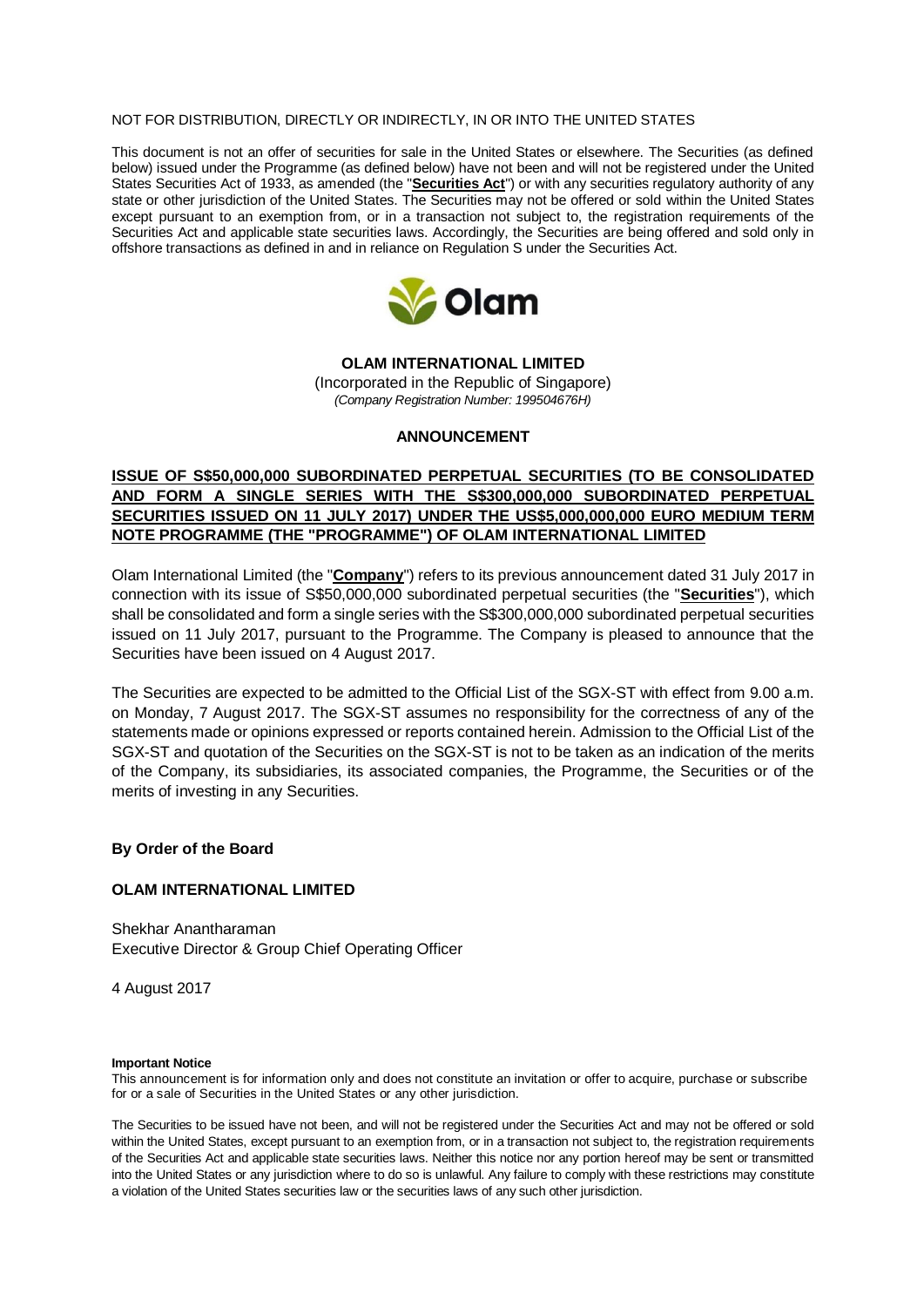#### NOT FOR DISTRIBUTION, DIRECTLY OR INDIRECTLY, IN OR INTO THE UNITED STATES

This document is not an offer of securities for sale in the United States or elsewhere. The Securities (as defined below) issued under the Programme (as defined below) have not been and will not be registered under the United States Securities Act of 1933, as amended (the "**Securities Act**") or with any securities regulatory authority of any state or other jurisdiction of the United States. The Securities may not be offered or sold within the United States except pursuant to an exemption from, or in a transaction not subject to, the registration requirements of the Securities Act and applicable state securities laws. Accordingly, the Securities are being offered and sold only in offshore transactions as defined in and in reliance on Regulation S under the Securities Act.



## **OLAM INTERNATIONAL LIMITED**

(Incorporated in the Republic of Singapore) *(Company Registration Number: 199504676H)*

# **ANNOUNCEMENT**

# **ISSUE OF S\$50,000,000 SUBORDINATED PERPETUAL SECURITIES (TO BE CONSOLIDATED AND FORM A SINGLE SERIES WITH THE S\$300,000,000 SUBORDINATED PERPETUAL SECURITIES ISSUED ON 11 JULY 2017) UNDER THE US\$5,000,000,000 EURO MEDIUM TERM NOTE PROGRAMME (THE "PROGRAMME") OF OLAM INTERNATIONAL LIMITED**

Olam International Limited (the "**Company**") refers to its previous announcement dated 31 July 2017 in connection with its issue of S\$50,000,000 subordinated perpetual securities (the "**Securities**"), which shall be consolidated and form a single series with the S\$300,000,000 subordinated perpetual securities issued on 11 July 2017, pursuant to the Programme. The Company is pleased to announce that the Securities have been issued on 4 August 2017.

The Securities are expected to be admitted to the Official List of the SGX-ST with effect from 9.00 a.m. on Monday, 7 August 2017. The SGX-ST assumes no responsibility for the correctness of any of the statements made or opinions expressed or reports contained herein. Admission to the Official List of the SGX-ST and quotation of the Securities on the SGX-ST is not to be taken as an indication of the merits of the Company, its subsidiaries, its associated companies, the Programme, the Securities or of the merits of investing in any Securities.

## **By Order of the Board**

## **OLAM INTERNATIONAL LIMITED**

Shekhar Anantharaman Executive Director & Group Chief Operating Officer

4 August 2017

#### **Important Notice**

This announcement is for information only and does not constitute an invitation or offer to acquire, purchase or subscribe for or a sale of Securities in the United States or any other jurisdiction.

The Securities to be issued have not been, and will not be registered under the Securities Act and may not be offered or sold within the United States, except pursuant to an exemption from, or in a transaction not subject to, the registration requirements of the Securities Act and applicable state securities laws. Neither this notice nor any portion hereof may be sent or transmitted into the United States or any jurisdiction where to do so is unlawful. Any failure to comply with these restrictions may constitute a violation of the United States securities law or the securities laws of any such other jurisdiction.